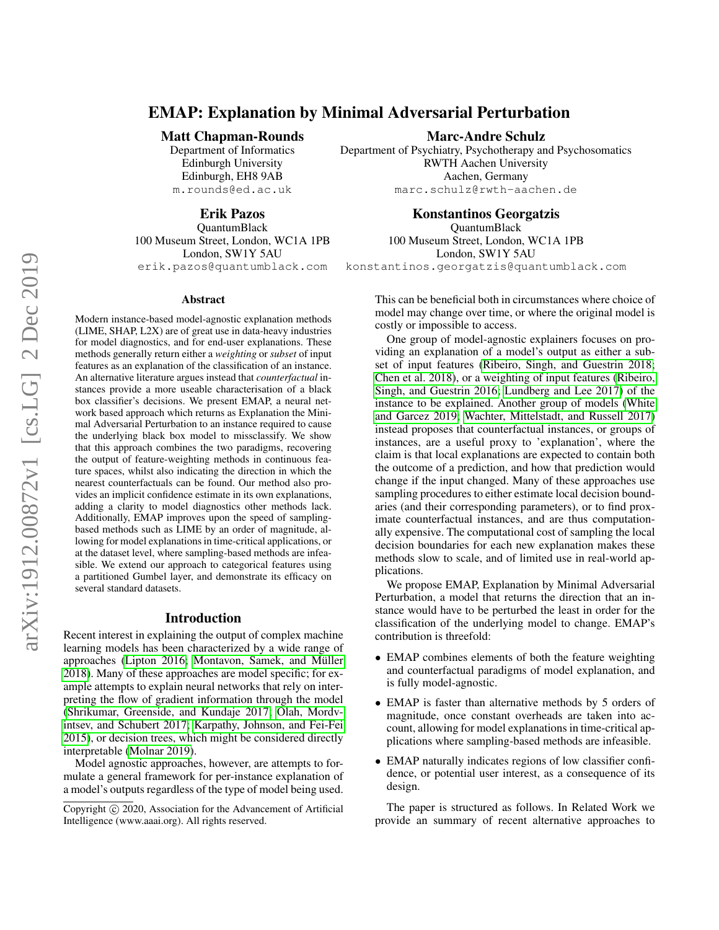# EMAP: Explanation by Minimal Adversarial Perturbation

### Matt Chapman-Rounds

Department of Informatics Edinburgh University Edinburgh, EH8 9AB m.rounds@ed.ac.uk

Erik Pazos

QuantumBlack 100 Museum Street, London, WC1A 1PB London, SW1Y 5AU

erik.pazos@quantumblack.com

#### Marc-Andre Schulz

Department of Psychiatry, Psychotherapy and Psychosomatics RWTH Aachen University Aachen, Germany marc.schulz@rwth-aachen.de

Konstantinos Georgatzis QuantumBlack 100 Museum Street, London, WC1A 1PB London, SW1Y 5AU konstantinos.georgatzis@quantumblack.com

#### Abstract

Modern instance-based model-agnostic explanation methods (LIME, SHAP, L2X) are of great use in data-heavy industries for model diagnostics, and for end-user explanations. These methods generally return either a *weighting* or *subset* of input features as an explanation of the classification of an instance. An alternative literature argues instead that *counterfactual* instances provide a more useable characterisation of a black box classifier's decisions. We present EMAP, a neural network based approach which returns as Explanation the Minimal Adversarial Perturbation to an instance required to cause the underlying black box model to missclassify. We show that this approach combines the two paradigms, recovering the output of feature-weighting methods in continuous feature spaces, whilst also indicating the direction in which the nearest counterfactuals can be found. Our method also provides an implicit confidence estimate in its own explanations, adding a clarity to model diagnostics other methods lack. Additionally, EMAP improves upon the speed of samplingbased methods such as LIME by an order of magnitude, allowing for model explanations in time-critical applications, or at the dataset level, where sampling-based methods are infeasible. We extend our approach to categorical features using a partitioned Gumbel layer, and demonstrate its efficacy on several standard datasets.

#### Introduction

Recent interest in explaining the output of complex machine learning models has been characterized by a wide range of approaches [\(Lipton 2016;](#page-7-0) Montavon, Samek, and Müller [2018\)](#page-7-1). Many of these approaches are model specific; for example attempts to explain neural networks that rely on interpreting the flow of gradient information through the model [\(Shrikumar, Greenside, and Kundaje 2017;](#page-8-0) [Olah, Mordv](#page-7-2)[intsev, and Schubert 2017;](#page-7-2) [Karpathy, Johnson, and Fei-Fei](#page-7-3) [2015\)](#page-7-3), or decision trees, which might be considered directly interpretable [\(Molnar 2019\)](#page-7-4).

Model agnostic approaches, however, are attempts to formulate a general framework for per-instance explanation of a model's outputs regardless of the type of model being used.

This can be beneficial both in circumstances where choice of model may change over time, or where the original model is costly or impossible to access.

One group of model-agnostic explainers focuses on providing an explanation of a model's output as either a subset of input features [\(Ribeiro, Singh, and Guestrin 2018;](#page-8-1) [Chen et al. 2018\)](#page-7-5), or a weighting of input features [\(Ribeiro,](#page-7-6) [Singh, and Guestrin 2016;](#page-7-6) [Lundberg and Lee 2017\)](#page-7-7) of the instance to be explained. Another group of models [\(White](#page-8-2) [and Garcez 2019;](#page-8-2) [Wachter, Mittelstadt, and Russell 2017\)](#page-8-3) instead proposes that counterfactual instances, or groups of instances, are a useful proxy to 'explanation', where the claim is that local explanations are expected to contain both the outcome of a prediction, and how that prediction would change if the input changed. Many of these approaches use sampling procedures to either estimate local decision boundaries (and their corresponding parameters), or to find proximate counterfactual instances, and are thus computationally expensive. The computational cost of sampling the local decision boundaries for each new explanation makes these methods slow to scale, and of limited use in real-world applications.

We propose EMAP, Explanation by Minimal Adversarial Perturbation, a model that returns the direction that an instance would have to be perturbed the least in order for the classification of the underlying model to change. EMAP's contribution is threefold:

- EMAP combines elements of both the feature weighting and counterfactual paradigms of model explanation, and is fully model-agnostic.
- EMAP is faster than alternative methods by 5 orders of magnitude, once constant overheads are taken into account, allowing for model explanations in time-critical applications where sampling-based methods are infeasible.
- EMAP naturally indicates regions of low classifier confidence, or potential user interest, as a consequence of its design.

The paper is structured as follows. In Related Work we provide an summary of recent alternative approaches to

Copyright (c) 2020, Association for the Advancement of Artificial Intelligence (www.aaai.org). All rights reserved.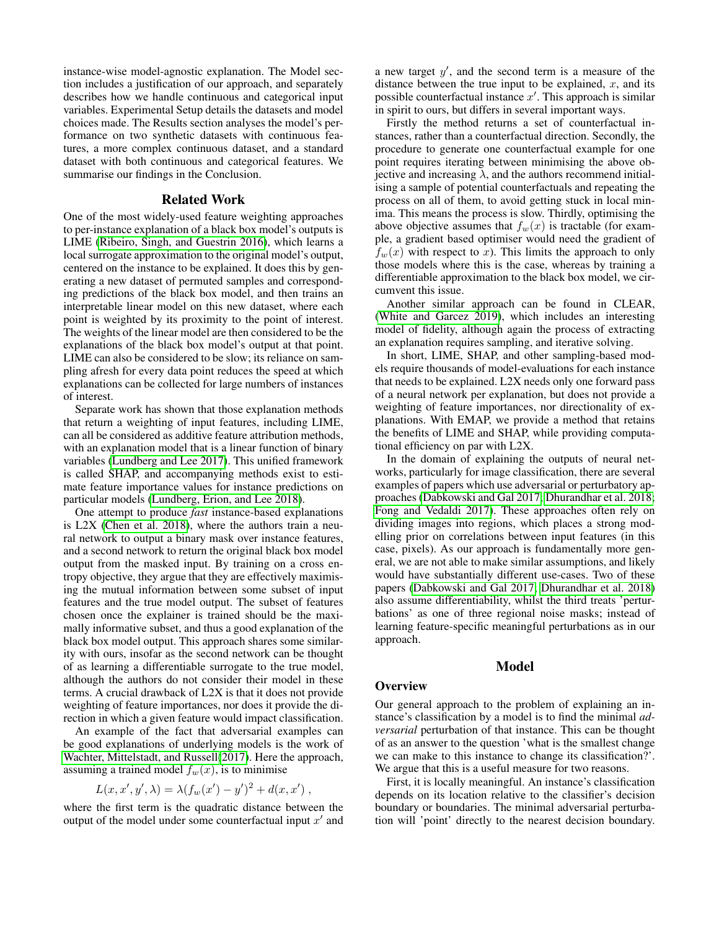instance-wise model-agnostic explanation. The Model section includes a justification of our approach, and separately describes how we handle continuous and categorical input variables. Experimental Setup details the datasets and model choices made. The Results section analyses the model's performance on two synthetic datasets with continuous features, a more complex continuous dataset, and a standard dataset with both continuous and categorical features. We summarise our findings in the Conclusion.

### Related Work

One of the most widely-used feature weighting approaches to per-instance explanation of a black box model's outputs is LIME [\(Ribeiro, Singh, and Guestrin 2016\)](#page-7-6), which learns a local surrogate approximation to the original model's output, centered on the instance to be explained. It does this by generating a new dataset of permuted samples and corresponding predictions of the black box model, and then trains an interpretable linear model on this new dataset, where each point is weighted by its proximity to the point of interest. The weights of the linear model are then considered to be the explanations of the black box model's output at that point. LIME can also be considered to be slow; its reliance on sampling afresh for every data point reduces the speed at which explanations can be collected for large numbers of instances of interest.

Separate work has shown that those explanation methods that return a weighting of input features, including LIME, can all be considered as additive feature attribution methods, with an explanation model that is a linear function of binary variables [\(Lundberg and Lee 2017\)](#page-7-7). This unified framework is called SHAP, and accompanying methods exist to estimate feature importance values for instance predictions on particular models [\(Lundberg, Erion, and Lee 2018\)](#page-7-8).

One attempt to produce *fast* instance-based explanations is L2X [\(Chen et al. 2018\)](#page-7-5), where the authors train a neural network to output a binary mask over instance features, and a second network to return the original black box model output from the masked input. By training on a cross entropy objective, they argue that they are effectively maximising the mutual information between some subset of input features and the true model output. The subset of features chosen once the explainer is trained should be the maximally informative subset, and thus a good explanation of the black box model output. This approach shares some similarity with ours, insofar as the second network can be thought of as learning a differentiable surrogate to the true model, although the authors do not consider their model in these terms. A crucial drawback of L2X is that it does not provide weighting of feature importances, nor does it provide the direction in which a given feature would impact classification.

An example of the fact that adversarial examples can be good explanations of underlying models is the work of [Wachter, Mittelstadt, and Russell\(2017\)](#page-8-3). Here the approach, assuming a trained model  $f_w(x)$ , is to minimise

$$
L(x, x', y', \lambda) = \lambda (f_w(x') - y')^{2} + d(x, x'),
$$

where the first term is the quadratic distance between the output of the model under some counterfactual input  $x'$  and

a new target  $y'$ , and the second term is a measure of the distance between the true input to be explained,  $x$ , and its possible counterfactual instance  $x'$ . This approach is similar in spirit to ours, but differs in several important ways.

Firstly the method returns a set of counterfactual instances, rather than a counterfactual direction. Secondly, the procedure to generate one counterfactual example for one point requires iterating between minimising the above objective and increasing  $\lambda$ , and the authors recommend initialising a sample of potential counterfactuals and repeating the process on all of them, to avoid getting stuck in local minima. This means the process is slow. Thirdly, optimising the above objective assumes that  $f_w(x)$  is tractable (for example, a gradient based optimiser would need the gradient of  $f_w(x)$  with respect to x). This limits the approach to only those models where this is the case, whereas by training a differentiable approximation to the black box model, we circumvent this issue.

Another similar approach can be found in CLEAR, [\(White and Garcez 2019\)](#page-8-2), which includes an interesting model of fidelity, although again the process of extracting an explanation requires sampling, and iterative solving.

In short, LIME, SHAP, and other sampling-based models require thousands of model-evaluations for each instance that needs to be explained. L2X needs only one forward pass of a neural network per explanation, but does not provide a weighting of feature importances, nor directionality of explanations. With EMAP, we provide a method that retains the benefits of LIME and SHAP, while providing computational efficiency on par with L2X.

In the domain of explaining the outputs of neural networks, particularly for image classification, there are several examples of papers which use adversarial or perturbatory approaches [\(Dabkowski and Gal 2017;](#page-7-9) [Dhurandhar et al. 2018;](#page-7-10) [Fong and Vedaldi 2017\)](#page-7-11). These approaches often rely on dividing images into regions, which places a strong modelling prior on correlations between input features (in this case, pixels). As our approach is fundamentally more general, we are not able to make similar assumptions, and likely would have substantially different use-cases. Two of these papers [\(Dabkowski and Gal 2017;](#page-7-9) [Dhurandhar et al. 2018\)](#page-7-10) also assume differentiability, whilst the third treats 'perturbations' as one of three regional noise masks; instead of learning feature-specific meaningful perturbations as in our approach.

## Model

#### **Overview**

Our general approach to the problem of explaining an instance's classification by a model is to find the minimal *adversarial* perturbation of that instance. This can be thought of as an answer to the question 'what is the smallest change we can make to this instance to change its classification?'. We argue that this is a useful measure for two reasons.

First, it is locally meaningful. An instance's classification depends on its location relative to the classifier's decision boundary or boundaries. The minimal adversarial perturbation will 'point' directly to the nearest decision boundary.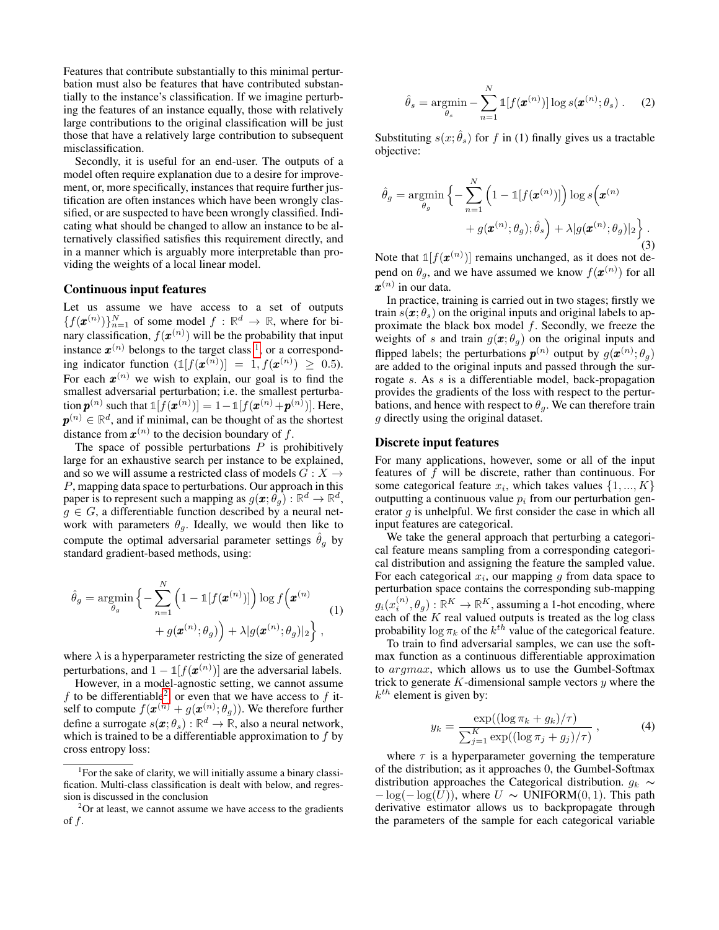Features that contribute substantially to this minimal perturbation must also be features that have contributed substantially to the instance's classification. If we imagine perturbing the features of an instance equally, those with relatively large contributions to the original classification will be just those that have a relatively large contribution to subsequent misclassification.

Secondly, it is useful for an end-user. The outputs of a model often require explanation due to a desire for improvement, or, more specifically, instances that require further justification are often instances which have been wrongly classified, or are suspected to have been wrongly classified. Indicating what should be changed to allow an instance to be alternatively classified satisfies this requirement directly, and in a manner which is arguably more interpretable than providing the weights of a local linear model.

#### Continuous input features

Let us assume we have access to a set of outputs  ${f}$  ${f}(\boldsymbol{x}^{(n)})\}_{n=1}^{N}$  of some model  $f: \mathbb{R}^{d} \to \mathbb{R}$ , where for binary classification,  $f(\boldsymbol{x}^{(n)})$  will be the probability that input instance  $\mathbf{x}^{(n)}$  belongs to the target class <sup>[1](#page-2-0)</sup>, or a corresponding indicator function  $(\mathbb{1}[f(\pmb x^{(n)})] = 1, f(\pmb x^{(n)}) \ge 0.5)$ . For each  $x^{(n)}$  we wish to explain, our goal is to find the smallest adversarial perturbation; i.e. the smallest perturbation  $\boldsymbol{p}^{(n)}$  such that  $\mathbb{1}[f(\boldsymbol{x}^{(n)})] = 1 - \mathbb{1}[f(\boldsymbol{x}^{(n)}\!+\!\boldsymbol{p}^{(n)})].$  Here,  $\boldsymbol{p}^{(n)} \in \mathbb{R}^d$ , and if minimal, can be thought of as the shortest distance from  $\mathbf{x}^{(n)}$  to the decision boundary of f.

The space of possible perturbations  $P$  is prohibitively large for an exhaustive search per instance to be explained, and so we will assume a restricted class of models  $G : X \rightarrow$ P, mapping data space to perturbations. Our approach in this paper is to represent such a mapping as  $g(\pmb x; \tilde{\theta_g}) : \mathbb{R}^d \to \mathbb{R}^d$ ,  $g \in G$ , a differentiable function described by a neural network with parameters  $\theta_g$ . Ideally, we would then like to compute the optimal adversarial parameter settings  $\hat{\theta}_q$  by standard gradient-based methods, using:

$$
\hat{\theta}_g = \underset{\theta_g}{\text{argmin}} \left\{ -\sum_{n=1}^N \left( 1 - \mathbb{1}[f(\boldsymbol{x}^{(n)})] \right) \log f(\boldsymbol{x}^{(n)} + g(\boldsymbol{x}^{(n)};\theta_g)) + \lambda |g(\boldsymbol{x}^{(n)};\theta_g)|_2 \right\},\tag{1}
$$

where  $\lambda$  is a hyperparameter restricting the size of generated perturbations, and  $1 - \mathbb{1}[f(\mathbf{x}^{(n)})]$  are the adversarial labels.

However, in a model-agnostic setting, we cannot assume f to be differentiable<sup>[2](#page-2-1)</sup>, or even that we have access to f itself to compute  $f(\pmb x^{(n)}+g(\pmb x^{(n)};\theta_g)).$  We therefore further define a surrogate  $s(\pmb x; \theta_s): \mathbb{R}^d \to \mathbb{R}$ , also a neural network, which is trained to be a differentiable approximation to  $f$  by cross entropy loss:

$$
\hat{\theta}_s = \underset{\theta_s}{\text{argmin}} - \sum_{n=1}^{N} \mathbb{1}[f(\boldsymbol{x}^{(n)})] \log s(\boldsymbol{x}^{(n)}; \theta_s) . \quad (2)
$$

Substituting  $s(x; \hat{\theta}_s)$  for f in (1) finally gives us a tractable objective:

$$
\hat{\theta}_g = \underset{\theta_g}{\text{argmin}} \left\{ - \sum_{n=1}^N \left( 1 - \mathbb{1}[f(\boldsymbol{x}^{(n)})] \right) \log s\left(\boldsymbol{x}^{(n)}\right) + g(\boldsymbol{x}^{(n)}; \theta_g); \hat{\theta}_s \right) + \lambda |g(\boldsymbol{x}^{(n)}; \theta_g)|_2 \right\}.
$$
\n(3)

Note that  $\mathbb{1}[f(\pmb x^{(n)})]$  remains unchanged, as it does not depend on  $\theta_g$ , and we have assumed we know  $f(\pmb{x}^{(n)})$  for all  $\pmb{x}^{(n)}$  in our data.

In practice, training is carried out in two stages; firstly we train  $s(\mathbf{x}; \theta_s)$  on the original inputs and original labels to approximate the black box model  $f$ . Secondly, we freeze the weights of s and train  $g(x; \theta_q)$  on the original inputs and flipped labels; the perturbations  $p^{(n)}$  output by  $g(\pmb x^{(n)}; \theta_g)$ are added to the original inputs and passed through the surrogate s. As s is a differentiable model, back-propagation provides the gradients of the loss with respect to the perturbations, and hence with respect to  $\theta_q$ . We can therefore train g directly using the original dataset.

#### Discrete input features

For many applications, however, some or all of the input features of f will be discrete, rather than continuous. For some categorical feature  $x_i$ , which takes values  $\{1, ..., K\}$ outputting a continuous value  $p_i$  from our perturbation generator  $q$  is unhelpful. We first consider the case in which all input features are categorical.

We take the general approach that perturbing a categorical feature means sampling from a corresponding categorical distribution and assigning the feature the sampled value. For each categorical  $x_i$ , our mapping  $g$  from data space to perturbation space contains the corresponding sub-mapping  $g_i(x_i^{(n)},\theta_g): \mathbb{R}^K \rightarrow \mathbb{R}^K,$  assuming a 1-hot encoding, where each of the  $K$  real valued outputs is treated as the log class probability  $\log \pi_k$  of the  $k^{th}$  value of the categorical feature.

To train to find adversarial samples, we can use the softmax function as a continuous differentiable approximation to argmax, which allows us to use the Gumbel-Softmax trick to generate  $K$ -dimensional sample vectors  $y$  where the  $k^{th}$  element is given by:

$$
y_k = \frac{\exp((\log \pi_k + g_k)/\tau)}{\sum_{j=1}^K \exp((\log \pi_j + g_j)/\tau)}, \qquad (4)
$$

where  $\tau$  is a hyperparameter governing the temperature of the distribution; as it approaches 0, the Gumbel-Softmax distribution approaches the Categorical distribution.  $g_k \sim$  $-\log(-\log(U))$ , where  $U \sim \text{UNIFORM}(0, 1)$ . This path derivative estimator allows us to backpropagate through the parameters of the sample for each categorical variable

<span id="page-2-0"></span><sup>1</sup> For the sake of clarity, we will initially assume a binary classification. Multi-class classification is dealt with below, and regression is discussed in the conclusion

<span id="page-2-1"></span> $2^2$ Or at least, we cannot assume we have access to the gradients of  $f$ .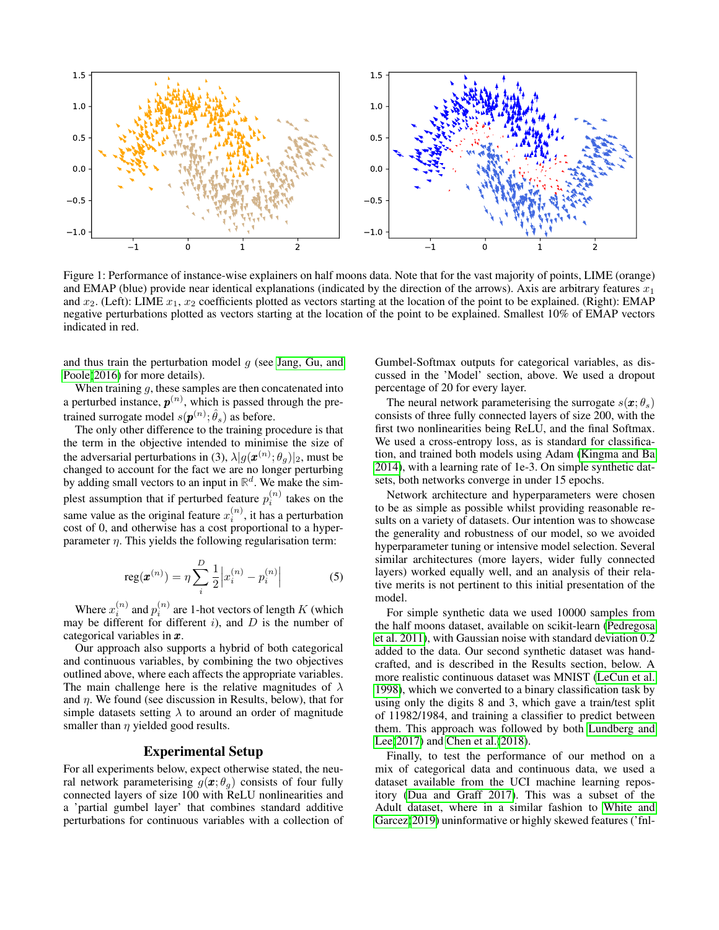

<span id="page-3-0"></span>Figure 1: Performance of instance-wise explainers on half moons data. Note that for the vast majority of points, LIME (orange) and EMAP (blue) provide near identical explanations (indicated by the direction of the arrows). Axis are arbitrary features  $x_1$ and  $x_2$ . (Left): LIME  $x_1, x_2$  coefficients plotted as vectors starting at the location of the point to be explained. (Right): EMAP negative perturbations plotted as vectors starting at the location of the point to be explained. Smallest 10% of EMAP vectors indicated in red.

and thus train the perturbation model  $g$  (see [Jang, Gu, and](#page-7-12) [Poole\(2016\)](#page-7-12) for more details).

When training  $g$ , these samples are then concatenated into a perturbed instance,  $p^{(n)}$ , which is passed through the pretrained surrogate model  $s(\pmb{p}^{(n)}; \hat{\theta}_s)$  as before.

The only other difference to the training procedure is that the term in the objective intended to minimise the size of the adversarial perturbations in (3),  $\lambda |g(\boldsymbol{x}^{(n)}; \theta_g)|_2$ , must be changed to account for the fact we are no longer perturbing by adding small vectors to an input in  $\mathbb{R}^d$ . We make the simplest assumption that if perturbed feature  $p_i^{(n)}$  takes on the same value as the original feature  $x_i^{(n)}$ , it has a perturbation cost of 0, and otherwise has a cost proportional to a hyperparameter  $\eta$ . This yields the following regularisation term:

$$
reg(\pmb{x}^{(n)}) = \eta \sum_{i=1}^{D} \frac{1}{2} \left| x_i^{(n)} - p_i^{(n)} \right| \tag{5}
$$

Where  $x_i^{(n)}$  and  $p_i^{(n)}$  are 1-hot vectors of length  $K$  (which may be different for different i), and  $D$  is the number of categorical variables in  $x$ .

Our approach also supports a hybrid of both categorical and continuous variables, by combining the two objectives outlined above, where each affects the appropriate variables. The main challenge here is the relative magnitudes of  $\lambda$ and  $\eta$ . We found (see discussion in Results, below), that for simple datasets setting  $\lambda$  to around an order of magnitude smaller than  $\eta$  yielded good results.

### Experimental Setup

For all experiments below, expect otherwise stated, the neural network parameterising  $g(x; \theta_q)$  consists of four fully connected layers of size 100 with ReLU nonlinearities and a 'partial gumbel layer' that combines standard additive perturbations for continuous variables with a collection of

Gumbel-Softmax outputs for categorical variables, as discussed in the 'Model' section, above. We used a dropout percentage of 20 for every layer.

The neural network parameterising the surrogate  $s(\mathbf{x}; \theta_s)$ consists of three fully connected layers of size 200, with the first two nonlinearities being ReLU, and the final Softmax. We used a cross-entropy loss, as is standard for classification, and trained both models using Adam [\(Kingma and Ba](#page-7-13) [2014\)](#page-7-13), with a learning rate of 1e-3. On simple synthetic datsets, both networks converge in under 15 epochs.

Network architecture and hyperparameters were chosen to be as simple as possible whilst providing reasonable results on a variety of datasets. Our intention was to showcase the generality and robustness of our model, so we avoided hyperparameter tuning or intensive model selection. Several similar architectures (more layers, wider fully connected layers) worked equally well, and an analysis of their relative merits is not pertinent to this initial presentation of the model.

For simple synthetic data we used 10000 samples from the half moons dataset, available on scikit-learn [\(Pedregosa](#page-7-14) [et al. 2011\)](#page-7-14), with Gaussian noise with standard deviation 0.2 added to the data. Our second synthetic dataset was handcrafted, and is described in the Results section, below. A more realistic continuous dataset was MNIST [\(LeCun et al.](#page-7-15) [1998\)](#page-7-15), which we converted to a binary classification task by using only the digits 8 and 3, which gave a train/test split of 11982/1984, and training a classifier to predict between them. This approach was followed by both [Lundberg and](#page-7-7) [Lee\(2017\)](#page-7-7) and [Chen et al.\(2018\)](#page-7-5).

Finally, to test the performance of our method on a mix of categorical data and continuous data, we used a dataset available from the UCI machine learning repository [\(Dua and Graff 2017\)](#page-7-16). This was a subset of the Adult dataset, where in a similar fashion to [White and](#page-8-2) [Garcez\(2019\)](#page-8-2) uninformative or highly skewed features ('fnl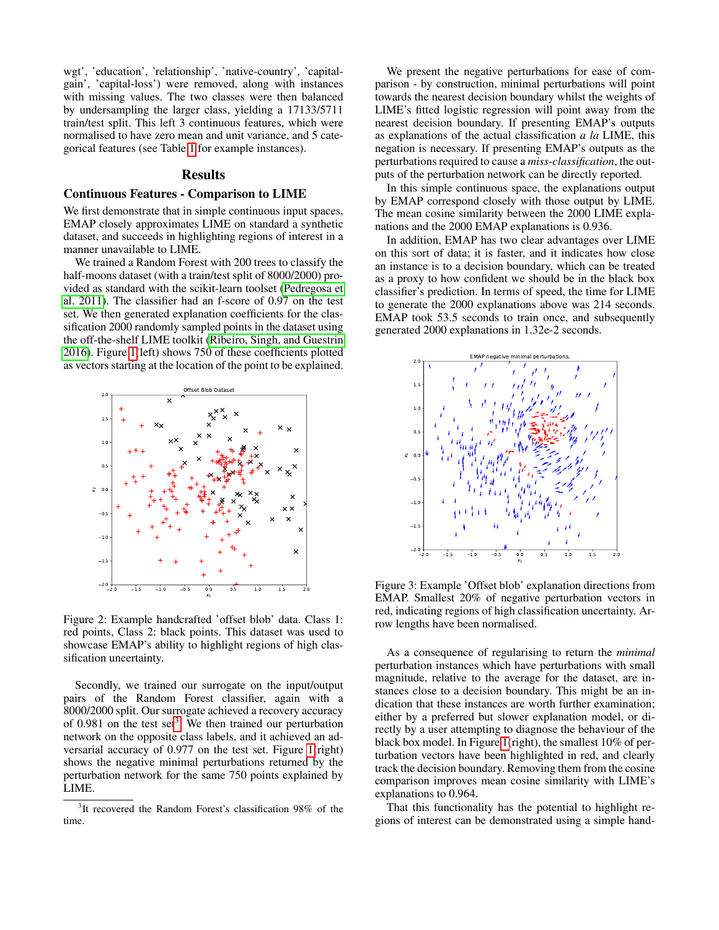wgt', 'education', 'relationship', 'native-country', 'capitalgain', 'capital-loss') were removed, along with instances with missing values. The two classes were then balanced by undersampling the larger class, yielding a 17133/5711 train/test split. This left 3 continuous features, which were normalised to have zero mean and unit variance, and 5 categorical features (see Table [1](#page-6-0) for example instances).

### Results

### Continuous Features - Comparison to LIME

We first demonstrate that in simple continuous input spaces, EMAP closely approximates LIME on standard a synthetic dataset, and succeeds in highlighting regions of interest in a manner unavailable to LIME.

We trained a Random Forest with 200 trees to classify the half-moons dataset (with a train/test split of 8000/2000) provided as standard with the scikit-learn toolset [\(Pedregosa et](#page-7-14) [al. 2011\)](#page-7-14). The classifier had an f-score of 0.97 on the test set. We then generated explanation coefficients for the classification 2000 randomly sampled points in the dataset using the off-the-shelf LIME toolkit [\(Ribeiro, Singh, and Guestrin](#page-7-6) [2016\)](#page-7-6). Figure [1\(](#page-3-0)left) shows 750 of these coefficients plotted as vectors starting at the location of the point to be explained.



<span id="page-4-1"></span>Figure 2: Example handcrafted 'offset blob' data. Class 1: red points, Class 2: black points. This dataset was used to showcase EMAP's ability to highlight regions of high classification uncertainty.

Secondly, we trained our surrogate on the input/output pairs of the Random Forest classifier, again with a 8000/2000 split. Our surrogate achieved a recovery accuracy of 0.981 on the test set<sup>[3](#page-4-0)</sup>. We then trained our perturbation network on the opposite class labels, and it achieved an adversarial accuracy of 0.977 on the test set. Figure [1\(](#page-3-0)right) shows the negative minimal perturbations returned by the perturbation network for the same 750 points explained by LIME.

We present the negative perturbations for ease of comparison - by construction, minimal perturbations will point towards the nearest decision boundary whilst the weights of LIME's fitted logistic regression will point away from the nearest decision boundary. If presenting EMAP's outputs as explanations of the actual classification *a la* LIME, this negation is necessary. If presenting EMAP's outputs as the perturbations required to cause a *miss-classification*, the outputs of the perturbation network can be directly reported.

In this simple continuous space, the explanations output by EMAP correspond closely with those output by LIME. The mean cosine similarity between the 2000 LIME explanations and the 2000 EMAP explanations is 0.936.

In addition, EMAP has two clear advantages over LIME on this sort of data; it is faster, and it indicates how close an instance is to a decision boundary, which can be treated as a proxy to how confident we should be in the black box classifier's prediction. In terms of speed, the time for LIME to generate the 2000 explanations above was 214 seconds. EMAP took 53.5 seconds to train once, and subsequently generated 2000 explanations in 1.32e-2 seconds.



<span id="page-4-2"></span>Figure 3: Example 'Offset blob' explanation directions from EMAP. Smallest 20% of negative perturbation vectors in red, indicating regions of high classification uncertainty. Arrow lengths have been normalised.

As a consequence of regularising to return the *minimal* perturbation instances which have perturbations with small magnitude, relative to the average for the dataset, are instances close to a decision boundary. This might be an indication that these instances are worth further examination; either by a preferred but slower explanation model, or directly by a user attempting to diagnose the behaviour of the black box model. In Figure [1\(](#page-3-0)right), the smallest 10% of perturbation vectors have been highlighted in red, and clearly track the decision boundary. Removing them from the cosine comparison improves mean cosine similarity with LIME's explanations to 0.964.

That this functionality has the potential to highlight regions of interest can be demonstrated using a simple hand-

<span id="page-4-0"></span><sup>&</sup>lt;sup>3</sup>It recovered the Random Forest's classification 98% of the time.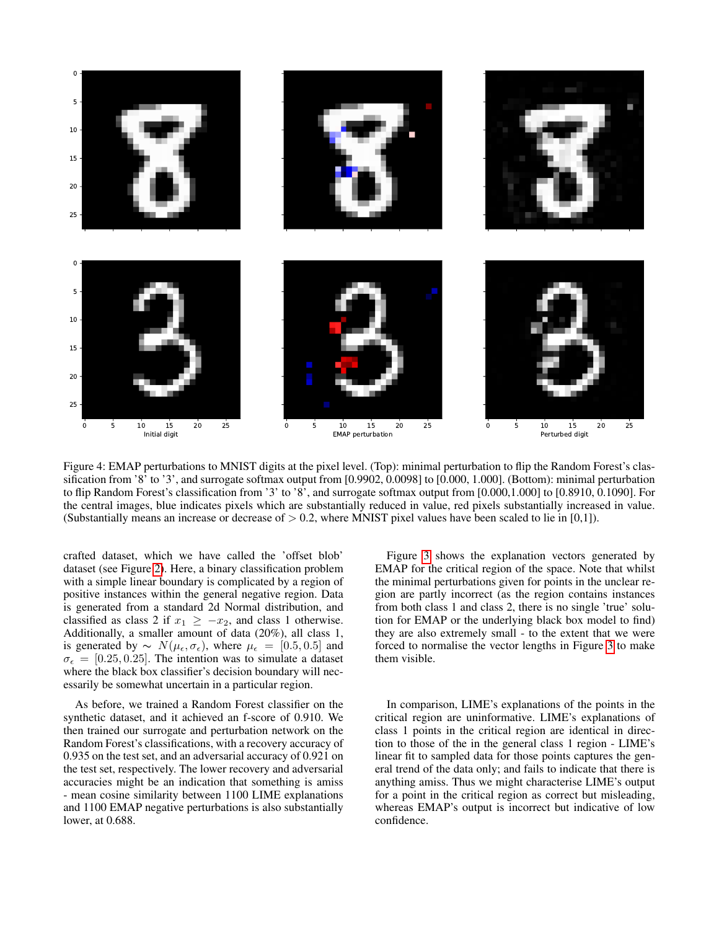

<span id="page-5-0"></span>Figure 4: EMAP perturbations to MNIST digits at the pixel level. (Top): minimal perturbation to flip the Random Forest's classification from '8' to '3', and surrogate softmax output from [0.9902, 0.0098] to [0.000, 1.000]. (Bottom): minimal perturbation to flip Random Forest's classification from '3' to '8', and surrogate softmax output from [0.000,1.000] to [0.8910, 0.1090]. For the central images, blue indicates pixels which are substantially reduced in value, red pixels substantially increased in value. (Substantially means an increase or decrease of  $> 0.2$ , where MNIST pixel values have been scaled to lie in [0,1]).

crafted dataset, which we have called the 'offset blob' dataset (see Figure [2\)](#page-4-1). Here, a binary classification problem with a simple linear boundary is complicated by a region of positive instances within the general negative region. Data is generated from a standard 2d Normal distribution, and classified as class 2 if  $x_1 \geq -x_2$ , and class 1 otherwise. Additionally, a smaller amount of data (20%), all class 1, is generated by  $\sim N(\mu_{\epsilon}, \sigma_{\epsilon})$ , where  $\mu_{\epsilon} = [0.5, 0.5]$  and  $\sigma_{\epsilon} = [0.25, 0.25]$ . The intention was to simulate a dataset where the black box classifier's decision boundary will necessarily be somewhat uncertain in a particular region.

As before, we trained a Random Forest classifier on the synthetic dataset, and it achieved an f-score of 0.910. We then trained our surrogate and perturbation network on the Random Forest's classifications, with a recovery accuracy of 0.935 on the test set, and an adversarial accuracy of 0.921 on the test set, respectively. The lower recovery and adversarial accuracies might be an indication that something is amiss - mean cosine similarity between 1100 LIME explanations and 1100 EMAP negative perturbations is also substantially lower, at 0.688.

Figure [3](#page-4-2) shows the explanation vectors generated by EMAP for the critical region of the space. Note that whilst the minimal perturbations given for points in the unclear region are partly incorrect (as the region contains instances from both class 1 and class 2, there is no single 'true' solution for EMAP or the underlying black box model to find) they are also extremely small - to the extent that we were forced to normalise the vector lengths in Figure [3](#page-4-2) to make them visible.

In comparison, LIME's explanations of the points in the critical region are uninformative. LIME's explanations of class 1 points in the critical region are identical in direction to those of the in the general class 1 region - LIME's linear fit to sampled data for those points captures the general trend of the data only; and fails to indicate that there is anything amiss. Thus we might characterise LIME's output for a point in the critical region as correct but misleading, whereas EMAP's output is incorrect but indicative of low confidence.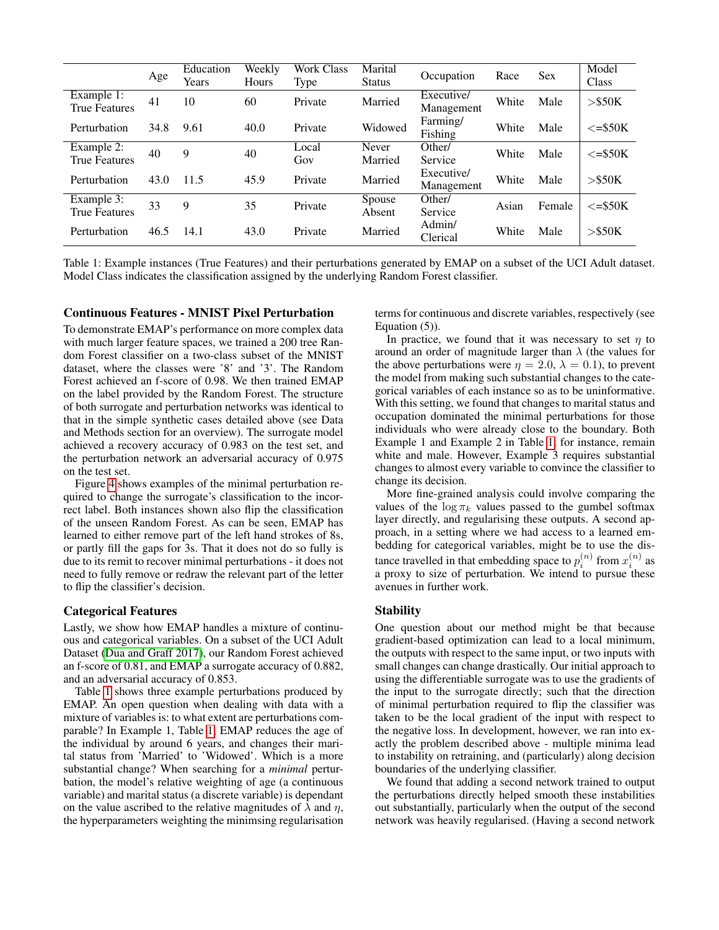|                                    | Age  | Education<br>Years | Weekly<br>Hours | <b>Work Class</b><br>Type | Marital<br><b>Status</b> | Occupation               | Race  | <b>Sex</b> | Model<br>Class    |
|------------------------------------|------|--------------------|-----------------|---------------------------|--------------------------|--------------------------|-------|------------|-------------------|
| Example 1:<br><b>True Features</b> | 41   | 10                 | 60              | Private                   | Married                  | Executive/<br>Management | White | Male       | $>$ \$50K         |
| Perturbation                       | 34.8 | 9.61               | 40.0            | Private                   | Widowed                  | Farming/<br>Fishing      | White | Male       | $\le$ = \$50K     |
| Example 2:<br><b>True Features</b> | 40   | 9                  | 40              | Local<br>Gov              | <b>Never</b><br>Married  | Other/<br>Service        | White | Male       | $\le$ = \$50K     |
| Perturbation                       | 43.0 | 11.5               | 45.9            | Private                   | Married                  | Executive/<br>Management | White | Male       | $>$ \$50K         |
| Example 3:<br><b>True Features</b> | 33   | 9                  | 35              | Private                   | Spouse<br>Absent         | Other/<br>Service        | Asian | Female     | $\epsilon = $50K$ |
| Perturbation                       | 46.5 | 14.1               | 43.0            | Private                   | Married                  | Admin/<br>Clerical       | White | Male       | $>$ \$50K         |

<span id="page-6-0"></span>Table 1: Example instances (True Features) and their perturbations generated by EMAP on a subset of the UCI Adult dataset. Model Class indicates the classification assigned by the underlying Random Forest classifier.

### Continuous Features - MNIST Pixel Perturbation

To demonstrate EMAP's performance on more complex data with much larger feature spaces, we trained a 200 tree Random Forest classifier on a two-class subset of the MNIST dataset, where the classes were '8' and '3'. The Random Forest achieved an f-score of 0.98. We then trained EMAP on the label provided by the Random Forest. The structure of both surrogate and perturbation networks was identical to that in the simple synthetic cases detailed above (see Data and Methods section for an overview). The surrogate model achieved a recovery accuracy of 0.983 on the test set, and the perturbation network an adversarial accuracy of 0.975 on the test set.

Figure [4](#page-5-0) shows examples of the minimal perturbation required to change the surrogate's classification to the incorrect label. Both instances shown also flip the classification of the unseen Random Forest. As can be seen, EMAP has learned to either remove part of the left hand strokes of 8s, or partly fill the gaps for 3s. That it does not do so fully is due to its remit to recover minimal perturbations - it does not need to fully remove or redraw the relevant part of the letter to flip the classifier's decision.

### Categorical Features

Lastly, we show how EMAP handles a mixture of continuous and categorical variables. On a subset of the UCI Adult Dataset [\(Dua and Graff 2017\)](#page-7-16), our Random Forest achieved an f-score of 0.81, and EMAP a surrogate accuracy of 0.882, and an adversarial accuracy of 0.853.

Table [1](#page-6-0) shows three example perturbations produced by EMAP. An open question when dealing with data with a mixture of variables is: to what extent are perturbations comparable? In Example 1, Table [1,](#page-6-0) EMAP reduces the age of the individual by around 6 years, and changes their marital status from 'Married' to 'Widowed'. Which is a more substantial change? When searching for a *minimal* perturbation, the model's relative weighting of age (a continuous variable) and marital status (a discrete variable) is dependant on the value ascribed to the relative magnitudes of  $\lambda$  and  $\eta$ , the hyperparameters weighting the minimsing regularisation terms for continuous and discrete variables, respectively (see Equation (5)).

In practice, we found that it was necessary to set  $\eta$  to around an order of magnitude larger than  $\lambda$  (the values for the above perturbations were  $\eta = 2.0, \lambda = 0.1$ , to prevent the model from making such substantial changes to the categorical variables of each instance so as to be uninformative. With this setting, we found that changes to marital status and occupation dominated the minimal perturbations for those individuals who were already close to the boundary. Both Example 1 and Example 2 in Table [1,](#page-6-0) for instance, remain white and male. However, Example 3 requires substantial changes to almost every variable to convince the classifier to change its decision.

More fine-grained analysis could involve comparing the values of the  $\log \pi_k$  values passed to the gumbel softmax layer directly, and regularising these outputs. A second approach, in a setting where we had access to a learned embedding for categorical variables, might be to use the distance travelled in that embedding space to  $p_i^{(n)}$  from  $x_i^{(n)}$  as a proxy to size of perturbation. We intend to pursue these avenues in further work.

### **Stability**

One question about our method might be that because gradient-based optimization can lead to a local minimum, the outputs with respect to the same input, or two inputs with small changes can change drastically. Our initial approach to using the differentiable surrogate was to use the gradients of the input to the surrogate directly; such that the direction of minimal perturbation required to flip the classifier was taken to be the local gradient of the input with respect to the negative loss. In development, however, we ran into exactly the problem described above - multiple minima lead to instability on retraining, and (particularly) along decision boundaries of the underlying classifier.

We found that adding a second network trained to output the perturbations directly helped smooth these instabilities out substantially, particularly when the output of the second network was heavily regularised. (Having a second network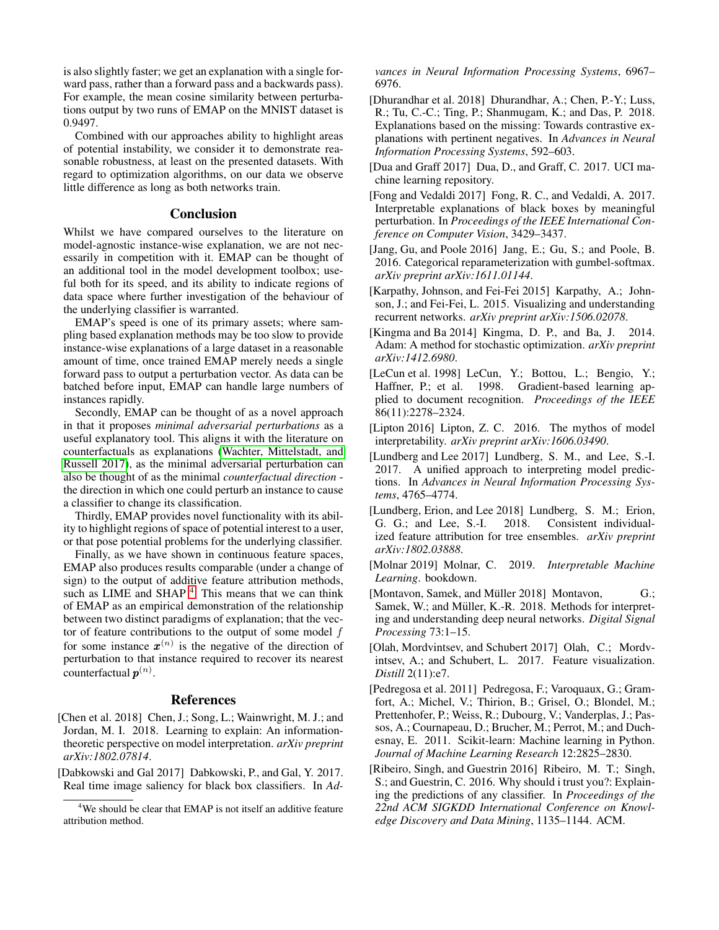is also slightly faster; we get an explanation with a single forward pass, rather than a forward pass and a backwards pass). For example, the mean cosine similarity between perturbations output by two runs of EMAP on the MNIST dataset is 0.9497.

Combined with our approaches ability to highlight areas of potential instability, we consider it to demonstrate reasonable robustness, at least on the presented datasets. With regard to optimization algorithms, on our data we observe little difference as long as both networks train.

### **Conclusion**

Whilst we have compared ourselves to the literature on model-agnostic instance-wise explanation, we are not necessarily in competition with it. EMAP can be thought of an additional tool in the model development toolbox; useful both for its speed, and its ability to indicate regions of data space where further investigation of the behaviour of the underlying classifier is warranted.

EMAP's speed is one of its primary assets; where sampling based explanation methods may be too slow to provide instance-wise explanations of a large dataset in a reasonable amount of time, once trained EMAP merely needs a single forward pass to output a perturbation vector. As data can be batched before input, EMAP can handle large numbers of instances rapidly.

Secondly, EMAP can be thought of as a novel approach in that it proposes *minimal adversarial perturbations* as a useful explanatory tool. This aligns it with the literature on counterfactuals as explanations [\(Wachter, Mittelstadt, and](#page-8-3) [Russell 2017\)](#page-8-3), as the minimal adversarial perturbation can also be thought of as the minimal *counterfactual direction* the direction in which one could perturb an instance to cause a classifier to change its classification.

Thirdly, EMAP provides novel functionality with its ability to highlight regions of space of potential interest to a user, or that pose potential problems for the underlying classifier.

Finally, as we have shown in continuous feature spaces, EMAP also produces results comparable (under a change of sign) to the output of additive feature attribution methods, such as LIME and SHAP<sup> $4$ </sup>. This means that we can think of EMAP as an empirical demonstration of the relationship between two distinct paradigms of explanation; that the vector of feature contributions to the output of some model  $f$ for some instance  $x^{(n)}$  is the negative of the direction of perturbation to that instance required to recover its nearest counterfactual  $\pmb{p}^{(n)}$ .

### References

<span id="page-7-5"></span>[Chen et al. 2018] Chen, J.; Song, L.; Wainwright, M. J.; and Jordan, M. I. 2018. Learning to explain: An informationtheoretic perspective on model interpretation. *arXiv preprint arXiv:1802.07814*.

<span id="page-7-9"></span>[Dabkowski and Gal 2017] Dabkowski, P., and Gal, Y. 2017. Real time image saliency for black box classifiers. In *Ad-*

*vances in Neural Information Processing Systems*, 6967– 6976.

- <span id="page-7-10"></span>[Dhurandhar et al. 2018] Dhurandhar, A.; Chen, P.-Y.; Luss, R.; Tu, C.-C.; Ting, P.; Shanmugam, K.; and Das, P. 2018. Explanations based on the missing: Towards contrastive explanations with pertinent negatives. In *Advances in Neural Information Processing Systems*, 592–603.
- <span id="page-7-16"></span>[Dua and Graff 2017] Dua, D., and Graff, C. 2017. UCI machine learning repository.
- <span id="page-7-11"></span>[Fong and Vedaldi 2017] Fong, R. C., and Vedaldi, A. 2017. Interpretable explanations of black boxes by meaningful perturbation. In *Proceedings of the IEEE International Conference on Computer Vision*, 3429–3437.
- <span id="page-7-12"></span>[Jang, Gu, and Poole 2016] Jang, E.; Gu, S.; and Poole, B. 2016. Categorical reparameterization with gumbel-softmax. *arXiv preprint arXiv:1611.01144*.
- <span id="page-7-3"></span>[Karpathy, Johnson, and Fei-Fei 2015] Karpathy, A.; Johnson, J.; and Fei-Fei, L. 2015. Visualizing and understanding recurrent networks. *arXiv preprint arXiv:1506.02078*.
- <span id="page-7-13"></span>[Kingma and Ba 2014] Kingma, D. P., and Ba, J. 2014. Adam: A method for stochastic optimization. *arXiv preprint arXiv:1412.6980*.
- <span id="page-7-15"></span>[LeCun et al. 1998] LeCun, Y.; Bottou, L.; Bengio, Y.; Haffner, P.; et al. 1998. Gradient-based learning applied to document recognition. *Proceedings of the IEEE* 86(11):2278–2324.
- <span id="page-7-0"></span>[Lipton 2016] Lipton, Z. C. 2016. The mythos of model interpretability. *arXiv preprint arXiv:1606.03490*.
- <span id="page-7-7"></span>[Lundberg and Lee 2017] Lundberg, S. M., and Lee, S.-I. 2017. A unified approach to interpreting model predictions. In *Advances in Neural Information Processing Systems*, 4765–4774.
- <span id="page-7-8"></span>[Lundberg, Erion, and Lee 2018] Lundberg, S. M.; Erion, G. G.; and Lee, S.-I. 2018. Consistent individualized feature attribution for tree ensembles. *arXiv preprint arXiv:1802.03888*.
- <span id="page-7-4"></span>[Molnar 2019] Molnar, C. 2019. *Interpretable Machine Learning*. bookdown.
- <span id="page-7-1"></span>[Montavon, Samek, and Müller 2018] Montavon, G.; Samek, W.; and Müller, K.-R. 2018. Methods for interpreting and understanding deep neural networks. *Digital Signal Processing* 73:1–15.
- <span id="page-7-2"></span>[Olah, Mordvintsev, and Schubert 2017] Olah, C.: Mordvintsev, A.; and Schubert, L. 2017. Feature visualization. *Distill* 2(11):e7.
- <span id="page-7-14"></span>[Pedregosa et al. 2011] Pedregosa, F.; Varoquaux, G.; Gramfort, A.; Michel, V.; Thirion, B.; Grisel, O.; Blondel, M.; Prettenhofer, P.; Weiss, R.; Dubourg, V.; Vanderplas, J.; Passos, A.; Cournapeau, D.; Brucher, M.; Perrot, M.; and Duchesnay, E. 2011. Scikit-learn: Machine learning in Python. *Journal of Machine Learning Research* 12:2825–2830.
- <span id="page-7-6"></span>[Ribeiro, Singh, and Guestrin 2016] Ribeiro, M. T.; Singh, S.; and Guestrin, C. 2016. Why should i trust you?: Explaining the predictions of any classifier. In *Proceedings of the 22nd ACM SIGKDD International Conference on Knowledge Discovery and Data Mining*, 1135–1144. ACM.

<span id="page-7-17"></span><sup>&</sup>lt;sup>4</sup>We should be clear that EMAP is not itself an additive feature attribution method.